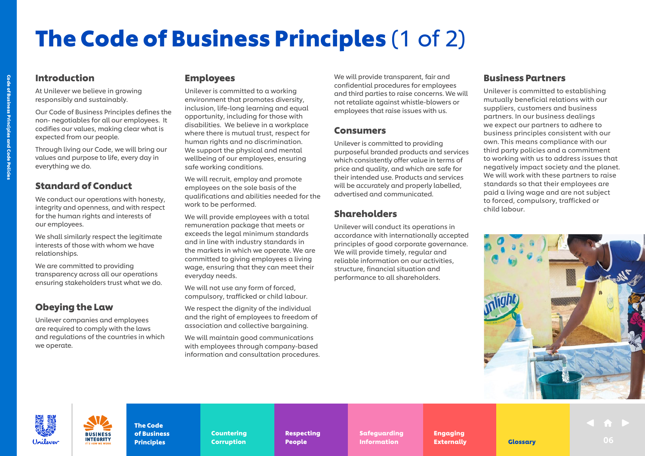# The Code of Business Principles (1 of 2)

#### Introduction

Code of Business Principles and Code Policies

Code of Business Principles and Code Policies

At Unilever we believe in growing responsibly and sustainably.

Our Code of Business Principles defines the non- negotiables for all our employees. It codifies our values, making clear what is expected from our people.

Through living our Code, we will bring our values and purpose to life, every day in everything we do.

#### Standard of Conduct

We conduct our operations with honesty, integrity and openness, and with respect for the human rights and interests of our employees.

We shall similarly respect the legitimate interests of those with whom we have relationships.

We are committed to providing transparency across all our operations ensuring stakeholders trust what we do.

# Obeying the Law

Unilever companies and employees are required to comply with the laws and regulations of the countries in which we operate.

**INTEGRITY** 

#### Employees

Unilever is committed to a working environment that promotes diversity, inclusion, life-long learning and equal opportunity, including for those with disabilities. We believe in a workplace where there is mutual trust, respect for human rights and no discrimination. We support the physical and mental wellbeing of our employees, ensuring safe working conditions.

We will recruit, employ and promote employees on the sole basis of the qualifications and abilities needed for the work to be performed.

We will provide employees with a total remuneration package that meets or exceeds the legal minimum standards and in line with industry standards in the markets in which we operate. We are committed to giving employees a living wage, ensuring that they can meet their everyday needs.

We will not use any form of forced, compulsory, trafficked or child labour.

We respect the dignity of the individual and the right of employees to freedom of association and collective bargaining.

We will maintain good communications with employees through company-based information and consultation procedures. We will provide transparent, fair and confidential procedures for employees and third parties to raise concerns. We will not retaliate against whistle-blowers or employees that raise issues with us.

#### Consumers

Unilever is committed to providing purposeful branded products and services which consistently offer value in terms of price and quality, and which are safe for their intended use. Products and services will be accurately and properly labelled, advertised and communicated.

## Shareholders

Unilever will conduct its operations in accordance with internationally accepted principles of good corporate governance. We will provide timely, regular and reliable information on our activities, structure, financial situation and performance to all shareholders.

#### Business Partners

Unilever is committed to establishing mutually beneficial relations with our suppliers, customers and business partners. In our business dealings we expect our partners to adhere to business principles consistent with our own. This means compliance with our third party policies and a commitment to working with us to address issues that negatively impact society and the planet. We will work with these partners to raise standards so that their employees are paid a living wage and are not subject to forced, compulsory, trafficked or child labour.





The Code [of Business](#page--1-0)  **Principles** 

[Countering](#page--1-0)  Countering Corruption Corruption

[Respecting](#page--1-0)  Respecting People People

[Safeguarding](#page--1-0)  Safeguarding Information **Externally** [Glossary](#page--1-0)

Engaging Engaging [Externally](#page--1-0) Externally **Indian Definition Contains Externally Clossary Contained Burgue Contains Contain**